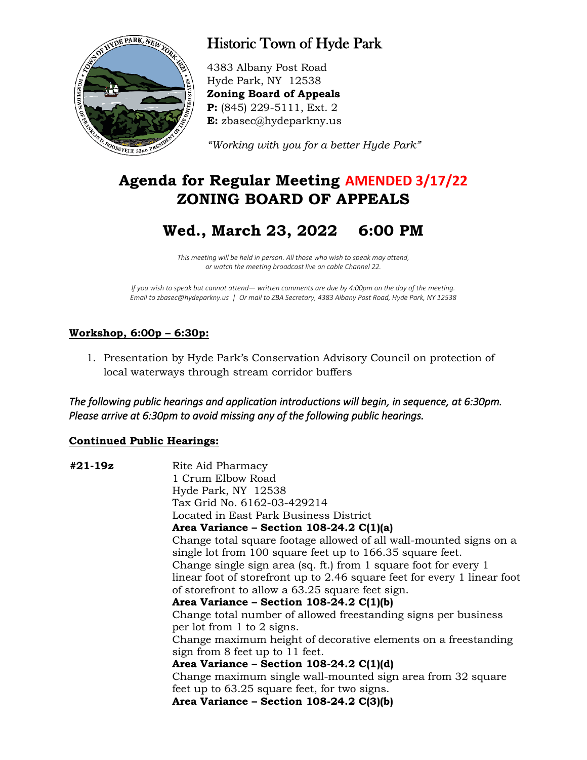

# Historic Town of Hyde Park

4383 Albany Post Road Hyde Park, NY 12538 **Zoning Board of Appeals P:** (845) 229-5111, Ext. 2 **E:** zbasec@hydeparkny.us

*"Working with you for a better Hyde Park"* 

## **Agenda for Regular Meeting AMENDED 3/17/22 ZONING BOARD OF APPEALS**

## **Wed., March 23, 2022 6:00 PM**

*This meeting will be held in person. All those who wish to speak may attend, or watch the meeting broadcast live on cable Channel 22.*

*If you wish to speak but cannot attend— written comments are due by 4:00pm on the day of the meeting. Email to zbasec@hydeparkny.us | Or mail to ZBA Secretary, 4383 Albany Post Road, Hyde Park, NY 12538*

## **Workshop, 6:00p – 6:30p:**

1. Presentation by Hyde Park's Conservation Advisory Council on protection of local waterways through stream corridor buffers

*The following public hearings and application introductions will begin, in sequence, at 6:30pm. Please arrive at 6:30pm to avoid missing any of the following public hearings.* 

### **Continued Public Hearings:**

| #21-19z | Rite Aid Pharmacy                                                        |
|---------|--------------------------------------------------------------------------|
|         | 1 Crum Elbow Road                                                        |
|         | Hyde Park, NY 12538                                                      |
|         | Tax Grid No. 6162-03-429214                                              |
|         | Located in East Park Business District                                   |
|         | Area Variance – Section 108-24.2 $C(1)(a)$                               |
|         | Change total square footage allowed of all wall-mounted signs on a       |
|         | single lot from 100 square feet up to 166.35 square feet.                |
|         | Change single sign area (sq. ft.) from 1 square foot for every 1         |
|         | linear foot of storefront up to 2.46 square feet for every 1 linear foot |
|         | of storefront to allow a 63.25 square feet sign.                         |
|         | Area Variance - Section 108-24.2 $C(1)(b)$                               |
|         | Change total number of allowed freestanding signs per business           |
|         | per lot from 1 to 2 signs.                                               |
|         | Change maximum height of decorative elements on a freestanding           |
|         | sign from 8 feet up to 11 feet.                                          |
|         | Area Variance – Section 108-24.2 $C(1)(d)$                               |
|         | Change maximum single wall-mounted sign area from 32 square              |
|         | feet up to 63.25 square feet, for two signs.                             |
|         | Area Variance - Section 108-24.2 C(3)(b)                                 |
|         |                                                                          |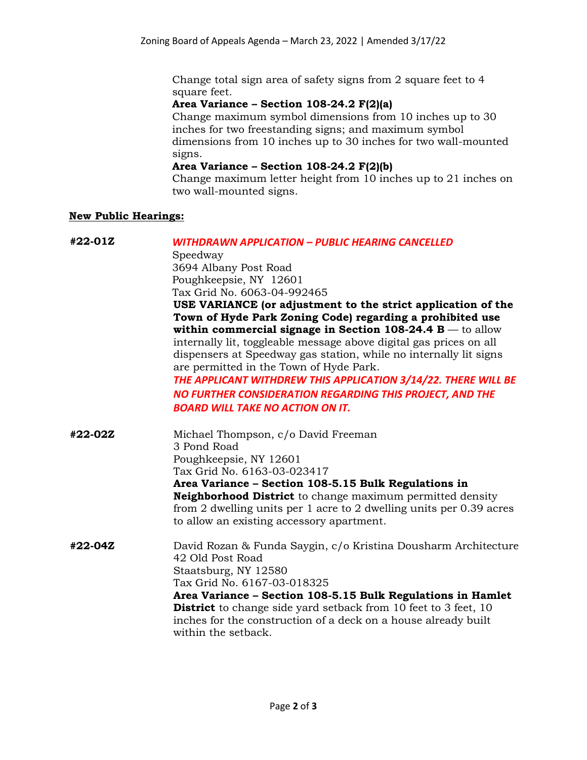Change total sign area of safety signs from 2 square feet to 4 square feet.

#### **Area Variance – Section 108-24.2 F(2)(a)**

Change maximum symbol dimensions from 10 inches up to 30 inches for two freestanding signs; and maximum symbol dimensions from 10 inches up to 30 inches for two wall-mounted signs.

#### **Area Variance – Section 108-24.2 F(2)(b)**

Change maximum letter height from 10 inches up to 21 inches on two wall-mounted signs.

#### **New Public Hearings:**

**#22-01Z** *WITHDRAWN APPLICATION – PUBLIC HEARING CANCELLED* Speedway 3694 Albany Post Road Poughkeepsie, NY 12601 Tax Grid No. 6063-04-992465 **USE VARIANCE (or adjustment to the strict application of the Town of Hyde Park Zoning Code) regarding a prohibited use within commercial signage in Section 108-24.4 B** — to allow internally lit, toggleable message above digital gas prices on all dispensers at Speedway gas station, while no internally lit signs are permitted in the Town of Hyde Park. *THE APPLICANT WITHDREW THIS APPLICATION 3/14/22. THERE WILL BE NO FURTHER CONSIDERATION REGARDING THIS PROJECT, AND THE BOARD WILL TAKE NO ACTION ON IT.* **#22-02Z** Michael Thompson, c/o David Freeman 3 Pond Road Poughkeepsie, NY 12601 Tax Grid No. 6163-03-023417 **Area Variance – Section 108-5.15 Bulk Regulations in Neighborhood District** to change maximum permitted density from 2 dwelling units per 1 acre to 2 dwelling units per 0.39 acres to allow an existing accessory apartment. **#22-04Z** David Rozan & Funda Saygin, c/o Kristina Dousharm Architecture 42 Old Post Road Staatsburg, NY 12580 Tax Grid No. 6167-03-018325 **Area Variance – Section 108-5.15 Bulk Regulations in Hamlet District** to change side yard setback from 10 feet to 3 feet, 10 inches for the construction of a deck on a house already built within the setback.